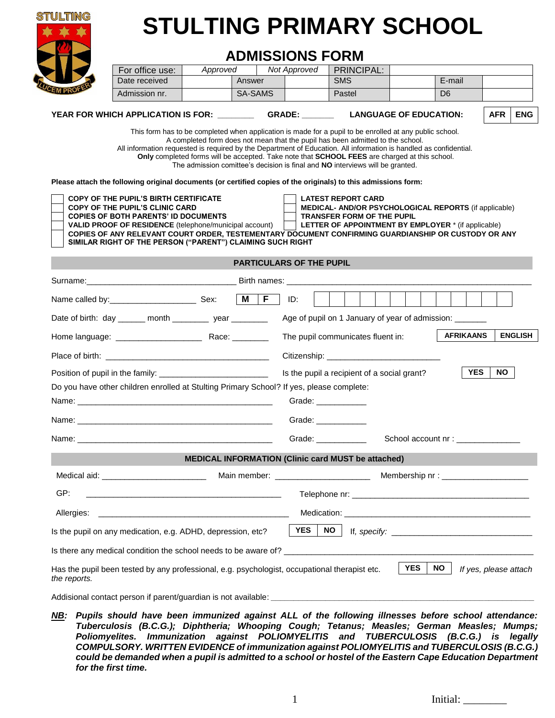

# **STULTING PRIMARY SCHOOL**

# **ADMISSIONS FORM**

|                                                                                                                                                              | For office use:                                                                                                                                                      | Approved |                          | <b>Not Approved</b>                   | PRINCIPAL:                                                                                                                                                                                                                           |  |                  |            |                |
|--------------------------------------------------------------------------------------------------------------------------------------------------------------|----------------------------------------------------------------------------------------------------------------------------------------------------------------------|----------|--------------------------|---------------------------------------|--------------------------------------------------------------------------------------------------------------------------------------------------------------------------------------------------------------------------------------|--|------------------|------------|----------------|
|                                                                                                                                                              | Date received                                                                                                                                                        |          | Answer                   |                                       | <b>SMS</b>                                                                                                                                                                                                                           |  | E-mail           |            |                |
|                                                                                                                                                              | Admission nr.                                                                                                                                                        |          | SA-SAMS                  |                                       | Pastel                                                                                                                                                                                                                               |  | D <sub>6</sub>   |            |                |
| YEAR FOR WHICH APPLICATION IS FOR: GRADE: _______                                                                                                            |                                                                                                                                                                      |          |                          |                                       | <b>LANGUAGE OF EDUCATION:</b>                                                                                                                                                                                                        |  | <b>AFR</b>       | <b>ENG</b> |                |
|                                                                                                                                                              |                                                                                                                                                                      |          |                          |                                       | This form has to be completed when application is made for a pupil to be enrolled at any public school.                                                                                                                              |  |                  |            |                |
|                                                                                                                                                              | All information requested is required by the Department of Education. All information is handled as confidential.                                                    |          |                          |                                       | A completed form does not mean that the pupil has been admitted to the school.                                                                                                                                                       |  |                  |            |                |
|                                                                                                                                                              |                                                                                                                                                                      |          |                          |                                       | Only completed forms will be accepted. Take note that SCHOOL FEES are charged at this school.<br>The admission comittee's decision is final and NO interviews will be granted.                                                       |  |                  |            |                |
|                                                                                                                                                              | Please attach the following original documents (or certified copies of the originals) to this admissions form:                                                       |          |                          |                                       |                                                                                                                                                                                                                                      |  |                  |            |                |
|                                                                                                                                                              | COPY OF THE PUPIL'S BIRTH CERTIFICATE<br><b>COPY OF THE PUPIL'S CLINIC CARD</b>                                                                                      |          |                          |                                       | <b>LATEST REPORT CARD</b><br><b>MEDICAL- AND/OR PSYCHOLOGICAL REPORTS (if applicable)</b>                                                                                                                                            |  |                  |            |                |
|                                                                                                                                                              | <b>COPIES OF BOTH PARENTS' ID DOCUMENTS</b>                                                                                                                          |          |                          |                                       | <b>TRANSFER FORM OF THE PUPIL</b>                                                                                                                                                                                                    |  |                  |            |                |
|                                                                                                                                                              | <b>VALID PROOF OF RESIDENCE</b> (telephone/municipal account)<br>COPIES OF ANY RELEVANT COURT ORDER, TESTEMENTARY DOCUMENT CONFIRMING GUARDIANSHIP OR CUSTODY OR ANY |          |                          |                                       | <b>LETTER OF APPOINTMENT BY EMPLOYER *</b> (if applicable)                                                                                                                                                                           |  |                  |            |                |
|                                                                                                                                                              | SIMILAR RIGHT OF THE PERSON ("PARENT") CLAIMING SUCH RIGHT                                                                                                           |          |                          |                                       |                                                                                                                                                                                                                                      |  |                  |            |                |
|                                                                                                                                                              |                                                                                                                                                                      |          |                          | <b>PARTICULARS OF THE PUPIL</b>       |                                                                                                                                                                                                                                      |  |                  |            |                |
|                                                                                                                                                              |                                                                                                                                                                      |          |                          |                                       |                                                                                                                                                                                                                                      |  |                  |            |                |
|                                                                                                                                                              |                                                                                                                                                                      |          | $\mid M \mid F \mid$ ID: |                                       |                                                                                                                                                                                                                                      |  |                  |            |                |
|                                                                                                                                                              | Date of birth: day ______ month _________ year ________                                                                                                              |          |                          |                                       | Age of pupil on 1 January of year of admission: _______                                                                                                                                                                              |  |                  |            |                |
|                                                                                                                                                              |                                                                                                                                                                      |          |                          |                                       | The pupil communicates fluent in:                                                                                                                                                                                                    |  | <b>AFRIKAANS</b> |            | <b>ENGLISH</b> |
|                                                                                                                                                              |                                                                                                                                                                      |          |                          |                                       |                                                                                                                                                                                                                                      |  |                  |            |                |
|                                                                                                                                                              |                                                                                                                                                                      |          |                          |                                       | Is the pupil a recipient of a social grant?                                                                                                                                                                                          |  | <b>YES</b>       | NO.        |                |
|                                                                                                                                                              | Do you have other children enrolled at Stulting Primary School? If yes, please complete:                                                                             |          |                          |                                       |                                                                                                                                                                                                                                      |  |                  |            |                |
|                                                                                                                                                              |                                                                                                                                                                      |          |                          |                                       | Grade: _____________                                                                                                                                                                                                                 |  |                  |            |                |
|                                                                                                                                                              |                                                                                                                                                                      |          |                          |                                       | Grade: <b>Canadian Communist Communist Communist Communist Communist Communist Communist Communist Communist Communist Communist Communist Communist Communist Communist Communist Communist Communist Communist Communist Commu</b> |  |                  |            |                |
|                                                                                                                                                              |                                                                                                                                                                      |          |                          |                                       | Grade: ____________                                                                                                                                                                                                                  |  |                  |            |                |
| <b>MEDICAL INFORMATION (Clinic card MUST be attached)</b>                                                                                                    |                                                                                                                                                                      |          |                          |                                       |                                                                                                                                                                                                                                      |  |                  |            |                |
|                                                                                                                                                              | Medical aid: _________________________________                                                                                                                       |          |                          | Main member: ________________________ |                                                                                                                                                                                                                                      |  |                  |            |                |
| GP:                                                                                                                                                          | <u> 1989 - Johann John Harry, margaret amerikan bisa di sebagai personal dan personal dan personal dan personal d</u>                                                |          |                          |                                       |                                                                                                                                                                                                                                      |  |                  |            |                |
|                                                                                                                                                              | Allergies: Allergies:                                                                                                                                                |          |                          |                                       |                                                                                                                                                                                                                                      |  |                  |            |                |
| <b>YES</b><br><b>NO</b><br>Is the pupil on any medication, e.g. ADHD, depression, etc?                                                                       |                                                                                                                                                                      |          |                          |                                       |                                                                                                                                                                                                                                      |  |                  |            |                |
|                                                                                                                                                              |                                                                                                                                                                      |          |                          |                                       |                                                                                                                                                                                                                                      |  |                  |            |                |
| <b>YES</b><br>NO .<br>Has the pupil been tested by any professional, e.g. psychologist, occupational therapist etc.<br>If yes, please attach<br>the reports. |                                                                                                                                                                      |          |                          |                                       |                                                                                                                                                                                                                                      |  |                  |            |                |
|                                                                                                                                                              |                                                                                                                                                                      |          |                          |                                       |                                                                                                                                                                                                                                      |  |                  |            |                |

*NB: Pupils should have been immunized against ALL of the following illnesses before school attendance: Tuberculosis (B.C.G.); Diphtheria; Whooping Cough; Tetanus; Measles; German Measles; Mumps; Poliomyelites. Immunization against POLIOMYELITIS and TUBERCULOSIS (B.C.G.) is legally COMPULSORY. WRITTEN EVIDENCE of immunization against POLIOMYELITIS and TUBERCULOSIS (B.C.G.) could be demanded when a pupil is admitted to a school or hostel of the Eastern Cape Education Department for the first time.*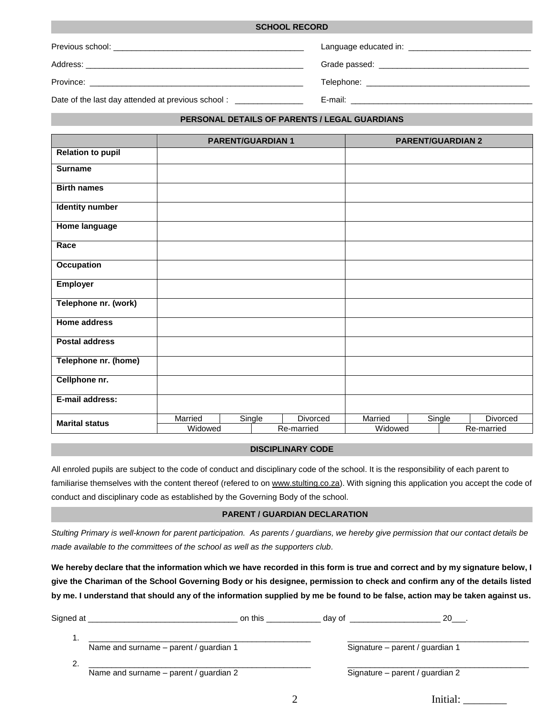| <b>OUNUUL NEUUNU</b>                              |                                                                                                                |  |  |
|---------------------------------------------------|----------------------------------------------------------------------------------------------------------------|--|--|
|                                                   | Language educated in: New York Canada and Canada and Canada and Canada and Canada and Canada and Canada and Ca |  |  |
|                                                   |                                                                                                                |  |  |
|                                                   |                                                                                                                |  |  |
| Date of the last day attended at previous school: |                                                                                                                |  |  |

**SCHOOL RECORD**

#### **PERSONAL DETAILS OF PARENTS / LEGAL GUARDIANS**

|                          |                    | <b>PARENT/GUARDIAN 1</b> |                        |                    | <b>PARENT/GUARDIAN 2</b> |        |                        |
|--------------------------|--------------------|--------------------------|------------------------|--------------------|--------------------------|--------|------------------------|
| <b>Relation to pupil</b> |                    |                          |                        |                    |                          |        |                        |
| <b>Surname</b>           |                    |                          |                        |                    |                          |        |                        |
| <b>Birth names</b>       |                    |                          |                        |                    |                          |        |                        |
| <b>Identity number</b>   |                    |                          |                        |                    |                          |        |                        |
| <b>Home language</b>     |                    |                          |                        |                    |                          |        |                        |
| Race                     |                    |                          |                        |                    |                          |        |                        |
| <b>Occupation</b>        |                    |                          |                        |                    |                          |        |                        |
| <b>Employer</b>          |                    |                          |                        |                    |                          |        |                        |
| Telephone nr. (work)     |                    |                          |                        |                    |                          |        |                        |
| <b>Home address</b>      |                    |                          |                        |                    |                          |        |                        |
| <b>Postal address</b>    |                    |                          |                        |                    |                          |        |                        |
| Telephone nr. (home)     |                    |                          |                        |                    |                          |        |                        |
| Cellphone nr.            |                    |                          |                        |                    |                          |        |                        |
| E-mail address:          |                    |                          |                        |                    |                          |        |                        |
| <b>Marital status</b>    | Married<br>Widowed | Single                   | Divorced<br>Re-married | Married<br>Widowed |                          | Single | Divorced<br>Re-married |

## **DISCIPLINARY CODE**

All enroled pupils are subject to the code of conduct and disciplinary code of the school. It is the responsibility of each parent to familiarise themselves with the content thereof (refered to on [www.stulting.co.za\)](http://www.stulting.co.za/). With signing this application you accept the code of conduct and disciplinary code as established by the Governing Body of the school.

#### **PARENT / GUARDIAN DECLARATION**

*Stulting Primary is well-known for parent participation. As parents / guardians, we hereby give permission that our contact details be made available to the committees of the school as well as the supporters club.*

**We hereby declare that the information which we have recorded in this form is true and correct and by my signature below, I give the Chariman of the School Governing Body or his designee, permission to check and confirm any of the details listed by me. I understand that should any of the information supplied by me be found to be false, action may be taken against us.**

| Signed at |                                        | on this | day of | 20                              |
|-----------|----------------------------------------|---------|--------|---------------------------------|
|           |                                        |         |        |                                 |
|           | Name and surname - parent / guardian 1 |         |        | Signature – parent / guardian 1 |
|           |                                        |         |        |                                 |
|           | Name and surname – parent / guardian 2 |         |        | Signature - parent / guardian 2 |
|           |                                        |         |        |                                 |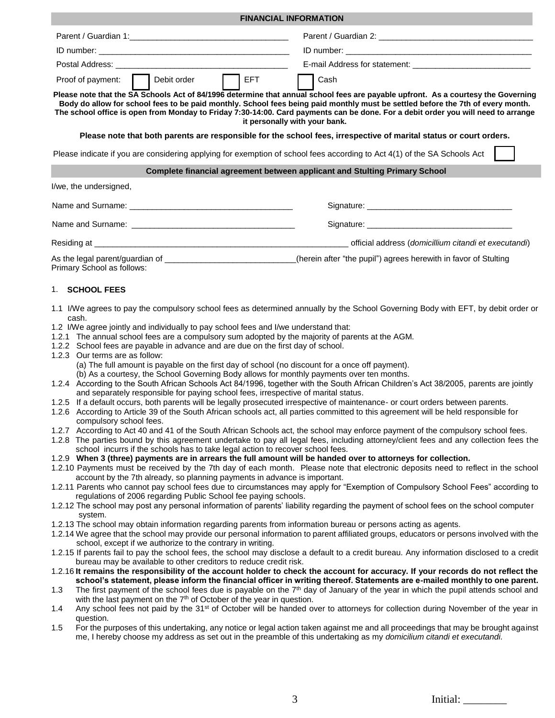|                                                                                                                                                                                                                                                                                       | <b>FINANCIAL INFORMATION</b>                                                                                                                                                                                                                                                                                                                                                                                                               |  |  |  |  |  |
|---------------------------------------------------------------------------------------------------------------------------------------------------------------------------------------------------------------------------------------------------------------------------------------|--------------------------------------------------------------------------------------------------------------------------------------------------------------------------------------------------------------------------------------------------------------------------------------------------------------------------------------------------------------------------------------------------------------------------------------------|--|--|--|--|--|
|                                                                                                                                                                                                                                                                                       |                                                                                                                                                                                                                                                                                                                                                                                                                                            |  |  |  |  |  |
|                                                                                                                                                                                                                                                                                       |                                                                                                                                                                                                                                                                                                                                                                                                                                            |  |  |  |  |  |
|                                                                                                                                                                                                                                                                                       |                                                                                                                                                                                                                                                                                                                                                                                                                                            |  |  |  |  |  |
|                                                                                                                                                                                                                                                                                       |                                                                                                                                                                                                                                                                                                                                                                                                                                            |  |  |  |  |  |
| $\vert$ $\vert$ EFT<br>Debit order<br>Proof of payment:                                                                                                                                                                                                                               | Cash                                                                                                                                                                                                                                                                                                                                                                                                                                       |  |  |  |  |  |
|                                                                                                                                                                                                                                                                                       | Please note that the SA Schools Act of 84/1996 determine that annual school fees are payable upfront. As a courtesy the Governing<br>Body do allow for school fees to be paid monthly. School fees being paid monthly must be settled before the 7th of every month.<br>The school office is open from Monday to Friday 7:30-14:00. Card payments can be done. For a debit order you will need to arrange<br>it personally with your bank. |  |  |  |  |  |
|                                                                                                                                                                                                                                                                                       | Please note that both parents are responsible for the school fees, irrespective of marital status or court orders.                                                                                                                                                                                                                                                                                                                         |  |  |  |  |  |
| Please indicate if you are considering applying for exemption of school fees according to Act 4(1) of the SA Schools Act                                                                                                                                                              |                                                                                                                                                                                                                                                                                                                                                                                                                                            |  |  |  |  |  |
|                                                                                                                                                                                                                                                                                       | Complete financial agreement between applicant and Stulting Primary School                                                                                                                                                                                                                                                                                                                                                                 |  |  |  |  |  |
| I/we, the undersigned,                                                                                                                                                                                                                                                                |                                                                                                                                                                                                                                                                                                                                                                                                                                            |  |  |  |  |  |
|                                                                                                                                                                                                                                                                                       |                                                                                                                                                                                                                                                                                                                                                                                                                                            |  |  |  |  |  |
|                                                                                                                                                                                                                                                                                       |                                                                                                                                                                                                                                                                                                                                                                                                                                            |  |  |  |  |  |
|                                                                                                                                                                                                                                                                                       |                                                                                                                                                                                                                                                                                                                                                                                                                                            |  |  |  |  |  |
| As the legal parent/guardian of __________________________(herein after "the pupil") agrees herewith in favor of Stulting                                                                                                                                                             |                                                                                                                                                                                                                                                                                                                                                                                                                                            |  |  |  |  |  |
| Primary School as follows:                                                                                                                                                                                                                                                            |                                                                                                                                                                                                                                                                                                                                                                                                                                            |  |  |  |  |  |
| cash.<br>1.2 I/We agree jointly and individually to pay school fees and I/we understand that:<br>1.2.1 The annual school fees are a compulsory sum adopted by the majority of parents at the AGM.<br>1.2.2 School fees are payable in advance and are due on the first day of school. | 1.1 I/We agrees to pay the compulsory school fees as determined annually by the School Governing Body with EFT, by debit order or                                                                                                                                                                                                                                                                                                          |  |  |  |  |  |
| 1.2.3 Our terms are as follow:<br>(a) The full amount is payable on the first day of school (no discount for a once off payment).                                                                                                                                                     |                                                                                                                                                                                                                                                                                                                                                                                                                                            |  |  |  |  |  |
| (b) As a courtesy, the School Governing Body allows for monthly payments over ten months.                                                                                                                                                                                             |                                                                                                                                                                                                                                                                                                                                                                                                                                            |  |  |  |  |  |
|                                                                                                                                                                                                                                                                                       | 1.2.4 According to the South African Schools Act 84/1996, together with the South African Children's Act 38/2005, parents are jointly                                                                                                                                                                                                                                                                                                      |  |  |  |  |  |
| and separately responsible for paying school fees, irrespective of marital status.<br>1.2.5 If a default occurs, both parents will be legally prosecuted irrespective of maintenance- or court orders between parents.                                                                |                                                                                                                                                                                                                                                                                                                                                                                                                                            |  |  |  |  |  |
| compulsory school fees.                                                                                                                                                                                                                                                               | 1.2.6 According to Article 39 of the South African schools act, all parties committed to this agreement will be held responsible for                                                                                                                                                                                                                                                                                                       |  |  |  |  |  |
| 1.2.7 According to Act 40 and 41 of the South African Schools act, the school may enforce payment of the compulsory school fees.                                                                                                                                                      |                                                                                                                                                                                                                                                                                                                                                                                                                                            |  |  |  |  |  |
| 1.2.8 The parties bound by this agreement undertake to pay all legal fees, including attorney/client fees and any collection fees the                                                                                                                                                 |                                                                                                                                                                                                                                                                                                                                                                                                                                            |  |  |  |  |  |
| school incurrs if the schools has to take legal action to recover school fees.<br>1.2.9 When 3 (three) payments are in arrears the full amount will be handed over to attorneys for collection.                                                                                       |                                                                                                                                                                                                                                                                                                                                                                                                                                            |  |  |  |  |  |
|                                                                                                                                                                                                                                                                                       | 1.2.10 Payments must be received by the 7th day of each month. Please note that electronic deposits need to reflect in the school                                                                                                                                                                                                                                                                                                          |  |  |  |  |  |
| account by the 7th already, so planning payments in advance is important.                                                                                                                                                                                                             |                                                                                                                                                                                                                                                                                                                                                                                                                                            |  |  |  |  |  |
| regulations of 2006 regarding Public School fee paying schools.                                                                                                                                                                                                                       | 1.2.11 Parents who cannot pay school fees due to circumstances may apply for "Exemption of Compulsory School Fees" according to                                                                                                                                                                                                                                                                                                            |  |  |  |  |  |
|                                                                                                                                                                                                                                                                                       | 1.2.12 The school may post any personal information of parents' liability regarding the payment of school fees on the school computer                                                                                                                                                                                                                                                                                                      |  |  |  |  |  |
| system.                                                                                                                                                                                                                                                                               |                                                                                                                                                                                                                                                                                                                                                                                                                                            |  |  |  |  |  |
| 1.2.13 The school may obtain information regarding parents from information bureau or persons acting as agents.                                                                                                                                                                       | 1.2.14 We agree that the school may provide our personal information to parent affiliated groups, educators or persons involved with the                                                                                                                                                                                                                                                                                                   |  |  |  |  |  |
| school, except if we authorize to the contrary in writing.                                                                                                                                                                                                                            | 1.2.15 If parents fail to pay the school fees, the school may disclose a default to a credit bureau. Any information disclosed to a credit                                                                                                                                                                                                                                                                                                 |  |  |  |  |  |
| bureau may be available to other creditors to reduce credit risk.                                                                                                                                                                                                                     |                                                                                                                                                                                                                                                                                                                                                                                                                                            |  |  |  |  |  |
|                                                                                                                                                                                                                                                                                       | 1.2.16 It remains the responsibility of the account holder to check the account for accuracy. If your records do not reflect the<br>school's statement, please inform the financial officer in writing thereof. Statements are e-mailed monthly to one parent.                                                                                                                                                                             |  |  |  |  |  |
| 1.3                                                                                                                                                                                                                                                                                   | The first payment of the school fees due is payable on the $7th$ day of January of the year in which the pupil attends school and                                                                                                                                                                                                                                                                                                          |  |  |  |  |  |
| with the last payment on the 7 <sup>th</sup> of October of the year in question.                                                                                                                                                                                                      |                                                                                                                                                                                                                                                                                                                                                                                                                                            |  |  |  |  |  |
| 1.4                                                                                                                                                                                                                                                                                   | Any school fees not paid by the 31 <sup>st</sup> of October will be handed over to attorneys for collection during November of the year in                                                                                                                                                                                                                                                                                                 |  |  |  |  |  |

question. 1.5 For the purposes of this undertaking, any notice or legal action taken against me and all proceedings that may be brought against me, I hereby choose my address as set out in the preamble of this undertaking as my *domicilium citandi et executandi.*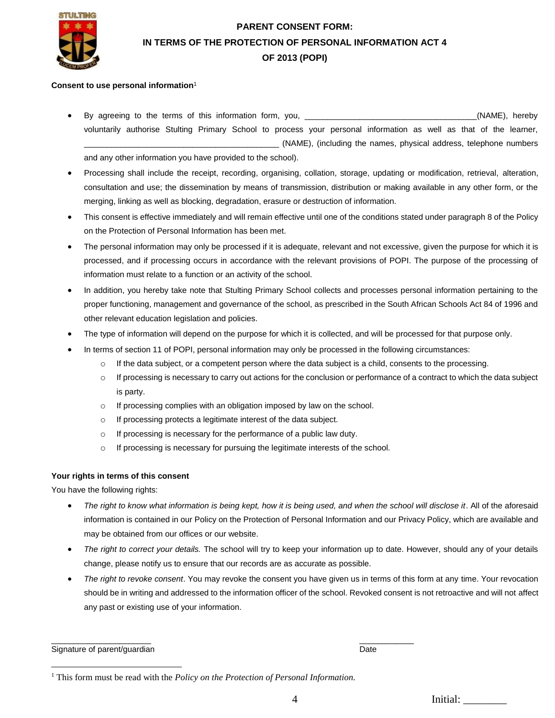

# **PARENT CONSENT FORM: IN TERMS OF THE PROTECTION OF PERSONAL INFORMATION ACT 4 OF 2013 (POPI)**

#### **Consent to use personal information**<sup>1</sup>

 By agreeing to the terms of this information form, you, \_\_\_\_\_\_\_\_\_\_\_\_\_\_\_\_\_\_\_\_\_\_\_\_\_\_\_\_\_\_\_\_\_\_\_\_\_\_(NAME), hereby voluntarily authorise Stulting Primary School to process your personal information as well as that of the learner, \_\_\_\_\_\_\_\_\_\_\_\_\_\_\_\_\_\_\_\_\_\_\_\_\_\_\_\_\_\_\_\_\_\_\_\_\_\_\_\_\_\_\_ (NAME), (including the names, physical address, telephone numbers

and any other information you have provided to the school).

- Processing shall include the receipt, recording, organising, collation, storage, updating or modification, retrieval, alteration, consultation and use; the dissemination by means of transmission, distribution or making available in any other form, or the merging, linking as well as blocking, degradation, erasure or destruction of information.
- This consent is effective immediately and will remain effective until one of the conditions stated under paragraph 8 of the Policy on the Protection of Personal Information has been met.
- The personal information may only be processed if it is adequate, relevant and not excessive, given the purpose for which it is processed, and if processing occurs in accordance with the relevant provisions of POPI. The purpose of the processing of information must relate to a function or an activity of the school.
- In addition, you hereby take note that Stulting Primary School collects and processes personal information pertaining to the proper functioning, management and governance of the school, as prescribed in the South African Schools Act 84 of 1996 and other relevant education legislation and policies.
- The type of information will depend on the purpose for which it is collected, and will be processed for that purpose only.
- In terms of section 11 of POPI, personal information may only be processed in the following circumstances:
	- $\circ$  If the data subject, or a competent person where the data subject is a child, consents to the processing.
	- $\circ$  If processing is necessary to carry out actions for the conclusion or performance of a contract to which the data subject is party.
	- o If processing complies with an obligation imposed by law on the school.
	- o If processing protects a legitimate interest of the data subject.
	- o If processing is necessary for the performance of a public law duty.
	- o If processing is necessary for pursuing the legitimate interests of the school.

## **Your rights in terms of this consent**

You have the following rights:

- The right to know what information is being kept, how it is being used, and when the school will disclose it. All of the aforesaid information is contained in our Policy on the Protection of Personal Information and our Privacy Policy, which are available and may be obtained from our offices or our website.
- *The right to correct your details.* The school will try to keep your information up to date. However, should any of your details change, please notify us to ensure that our records are as accurate as possible.
- *The right to revoke consent*. You may revoke the consent you have given us in terms of this form at any time. Your revocation should be in writing and addressed to the information officer of the school. Revoked consent is not retroactive and will not affect any past or existing use of your information.

Signature of parent/guardian Date Communication of the Communication of the Date Date Date

 $\overline{a}$ 

 $\overline{\phantom{a}}$  , and the contract of the contract of the contract of the contract of the contract of the contract of the contract of the contract of the contract of the contract of the contract of the contract of the contrac

4 Initial:

<sup>&</sup>lt;sup>1</sup> This form must be read with the *Policy on the Protection of Personal Information*.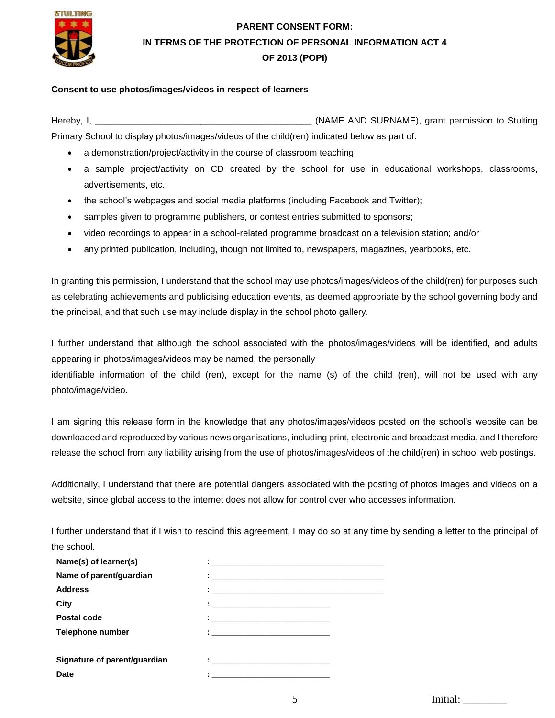

# **PARENT CONSENT FORM: IN TERMS OF THE PROTECTION OF PERSONAL INFORMATION ACT 4 OF 2013 (POPI)**

## **Consent to use photos/images/videos in respect of learners**

Hereby, I, **Example 20 and Studies and Studies and Studies (NAME AND SURNAME), grant permission to Stulting** Primary School to display photos/images/videos of the child(ren) indicated below as part of:

- a demonstration/project/activity in the course of classroom teaching;
- a sample project/activity on CD created by the school for use in educational workshops, classrooms, advertisements, etc.;
- the school's webpages and social media platforms (including Facebook and Twitter);
- samples given to programme publishers, or contest entries submitted to sponsors;
- video recordings to appear in a school-related programme broadcast on a television station; and/or
- any printed publication, including, though not limited to, newspapers, magazines, yearbooks, etc.

In granting this permission, I understand that the school may use photos/images/videos of the child(ren) for purposes such as celebrating achievements and publicising education events, as deemed appropriate by the school governing body and the principal, and that such use may include display in the school photo gallery.

I further understand that although the school associated with the photos/images/videos will be identified, and adults appearing in photos/images/videos may be named, the personally

identifiable information of the child (ren), except for the name (s) of the child (ren), will not be used with any photo/image/video.

I am signing this release form in the knowledge that any photos/images/videos posted on the school's website can be downloaded and reproduced by various news organisations, including print, electronic and broadcast media, and I therefore release the school from any liability arising from the use of photos/images/videos of the child(ren) in school web postings.

Additionally, I understand that there are potential dangers associated with the posting of photos images and videos on a website, since global access to the internet does not allow for control over who accesses information.

I further understand that if I wish to rescind this agreement, I may do so at any time by sending a letter to the principal of the school.

| Name(s) of learner(s)        |                                                                                                                                                                                                                                       |  |
|------------------------------|---------------------------------------------------------------------------------------------------------------------------------------------------------------------------------------------------------------------------------------|--|
| Name of parent/guardian      | $\ddot{\bullet}$ . The contract of the contract of the contract of the contract of the contract of the contract of the contract of the contract of the contract of the contract of the contract of the contract of the contract of th |  |
| <b>Address</b>               |                                                                                                                                                                                                                                       |  |
| City                         | <u> 1986 - Johann Johann Stein, fransk politik (d. 1986)</u>                                                                                                                                                                          |  |
| Postal code                  |                                                                                                                                                                                                                                       |  |
| <b>Telephone number</b>      | $\bullet$ . The contract of the contract of the contract of the contract of the contract of the contract of the contract of the contract of the contract of the contract of the contract of the contract of the contract of the co    |  |
|                              |                                                                                                                                                                                                                                       |  |
| Signature of parent/guardian | The company of the company of the company of                                                                                                                                                                                          |  |
| <b>Date</b>                  |                                                                                                                                                                                                                                       |  |
|                              |                                                                                                                                                                                                                                       |  |

5 Initial: \_\_\_\_\_\_\_\_